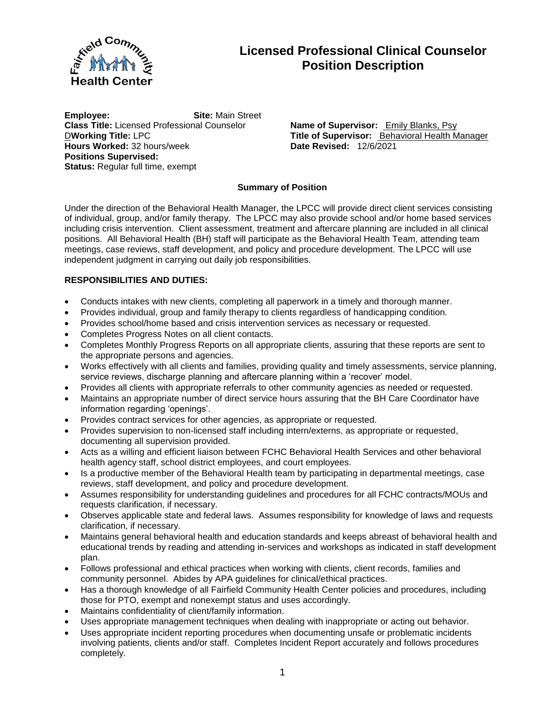

# **Licensed Professional Clinical Counselor Position Description**

**Employee: Site:** Main Street **Class Title:** Licensed Professional Counselor **Name of Supervisor:** Emily Blanks, Psy **Hours Worked: 32 hours/week Positions Supervised: Status: Regular full time, exempt** 

**D**Working Title: LPC<br> **Title of Supervisor:** Behavioral Health Manager<br> **Pate Revised:** 12/6/2021

# **Summary of Position**

Under the direction of the Behavioral Health Manager, the LPCC will provide direct client services consisting of individual, group, and/or family therapy. The LPCC may also provide school and/or home based services including crisis intervention. Client assessment, treatment and aftercare planning are included in all clinical positions. All Behavioral Health (BH) staff will participate as the Behavioral Health Team, attending team meetings, case reviews, staff development, and policy and procedure development. The LPCC will use independent judgment in carrying out daily job responsibilities.

### **RESPONSIBILITIES AND DUTIES:**

- Conducts intakes with new clients, completing all paperwork in a timely and thorough manner.
- Provides individual, group and family therapy to clients regardless of handicapping condition.
- Provides school/home based and crisis intervention services as necessary or requested.
- Completes Progress Notes on all client contacts.
- Completes Monthly Progress Reports on all appropriate clients, assuring that these reports are sent to the appropriate persons and agencies.
- Works effectively with all clients and families, providing quality and timely assessments, service planning, service reviews, discharge planning and aftercare planning within a 'recover' model.
- Provides all clients with appropriate referrals to other community agencies as needed or requested.
- Maintains an appropriate number of direct service hours assuring that the BH Care Coordinator have information regarding 'openings'.
- Provides contract services for other agencies, as appropriate or requested.
- Provides supervision to non-licensed staff including intern/externs, as appropriate or requested, documenting all supervision provided.
- Acts as a willing and efficient liaison between FCHC Behavioral Health Services and other behavioral health agency staff, school district employees, and court employees.
- Is a productive member of the Behavioral Health team by participating in departmental meetings, case reviews, staff development, and policy and procedure development.
- Assumes responsibility for understanding guidelines and procedures for all FCHC contracts/MOUs and requests clarification, if necessary.
- Observes applicable state and federal laws. Assumes responsibility for knowledge of laws and requests clarification, if necessary.
- Maintains general behavioral health and education standards and keeps abreast of behavioral health and educational trends by reading and attending in-services and workshops as indicated in staff development plan.
- Follows professional and ethical practices when working with clients, client records, families and community personnel. Abides by APA guidelines for clinical/ethical practices.
- Has a thorough knowledge of all Fairfield Community Health Center policies and procedures, including those for PTO, exempt and nonexempt status and uses accordingly.
- Maintains confidentiality of client/family information.
- Uses appropriate management techniques when dealing with inappropriate or acting out behavior.
- Uses appropriate incident reporting procedures when documenting unsafe or problematic incidents involving patients, clients and/or staff. Completes Incident Report accurately and follows procedures completely.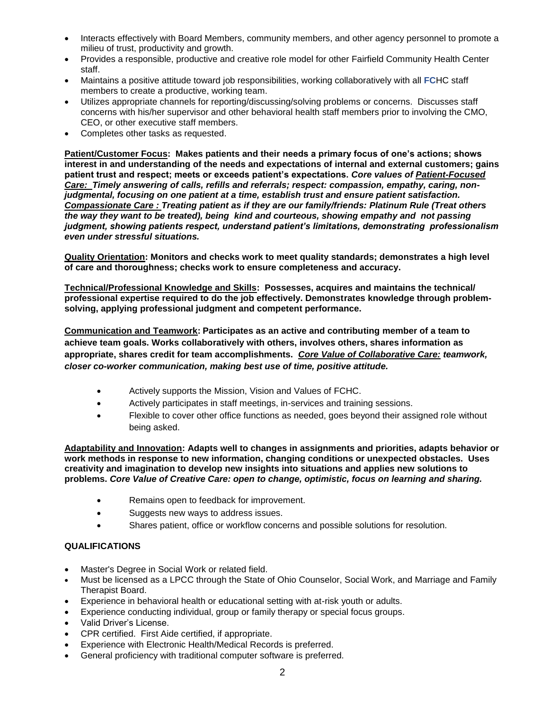- Interacts effectively with Board Members, community members, and other agency personnel to promote a milieu of trust, productivity and growth.
- Provides a responsible, productive and creative role model for other Fairfield Community Health Center staff.
- Maintains a positive attitude toward job responsibilities, working collaboratively with all **FC**HC staff members to create a productive, working team.
- Utilizes appropriate channels for reporting/discussing/solving problems or concerns. Discusses staff concerns with his/her supervisor and other behavioral health staff members prior to involving the CMO, CEO, or other executive staff members.
- Completes other tasks as requested.

**Patient/Customer Focus: Makes patients and their needs a primary focus of one's actions; shows interest in and understanding of the needs and expectations of internal and external customers; gains patient trust and respect; meets or exceeds patient's expectations.** *Core values of Patient-Focused Care: Timely answering of calls, refills and referrals; respect: compassion, empathy, caring, nonjudgmental, focusing on one patient at a time, establish trust and ensure patient satisfaction. Compassionate Care : Treating patient as if they are our family/friends: Platinum Rule (Treat others the way they want to be treated), being kind and courteous, showing empathy and not passing judgment, showing patients respect, understand patient's limitations, demonstrating professionalism even under stressful situations.*

**Quality Orientation: Monitors and checks work to meet quality standards; demonstrates a high level of care and thoroughness; checks work to ensure completeness and accuracy.**

**Technical/Professional Knowledge and Skills: Possesses, acquires and maintains the technical/ professional expertise required to do the job effectively. Demonstrates knowledge through problemsolving, applying professional judgment and competent performance.**

**Communication and Teamwork: Participates as an active and contributing member of a team to achieve team goals. Works collaboratively with others, involves others, shares information as appropriate, shares credit for team accomplishments.** *Core Value of Collaborative Care: teamwork, closer co-worker communication, making best use of time, positive attitude.*

- Actively supports the Mission, Vision and Values of FCHC.
- Actively participates in staff meetings, in-services and training sessions.
- Flexible to cover other office functions as needed, goes beyond their assigned role without being asked.

**Adaptability and Innovation: Adapts well to changes in assignments and priorities, adapts behavior or work methods in response to new information, changing conditions or unexpected obstacles. Uses creativity and imagination to develop new insights into situations and applies new solutions to problems.** *Core Value of Creative Care: open to change, optimistic, focus on learning and sharing.*

- Remains open to feedback for improvement.
- Suggests new ways to address issues.
- Shares patient, office or workflow concerns and possible solutions for resolution.

## **QUALIFICATIONS**

- Master's Degree in Social Work or related field.
- Must be licensed as a LPCC through the State of Ohio Counselor, Social Work, and Marriage and Family Therapist Board.
- Experience in behavioral health or educational setting with at-risk youth or adults.
- Experience conducting individual, group or family therapy or special focus groups.
- Valid Driver's License.
- CPR certified. First Aide certified, if appropriate.
- Experience with Electronic Health/Medical Records is preferred.
- General proficiency with traditional computer software is preferred.